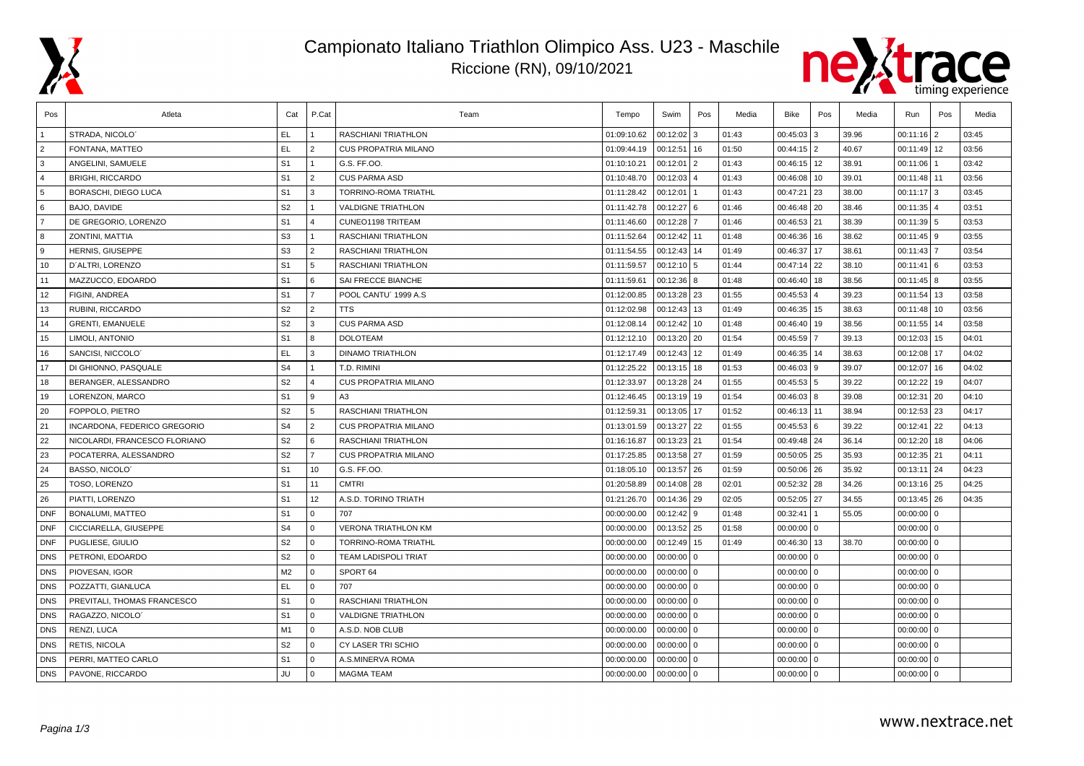

## Campionato Italiano Triathlon Olimpico Ass. U23 - Maschile Riccione (RN), 09/10/2021



| Pos            | Atleta                        | Cat            | P.Cat          | Team                        | Tempo       | Swim          | Pos            | Media | Bike         | Pos            | Media | Run            | Pos            | Media |
|----------------|-------------------------------|----------------|----------------|-----------------------------|-------------|---------------|----------------|-------|--------------|----------------|-------|----------------|----------------|-------|
|                | STRADA, NICOLO'               | EL.            |                | RASCHIANI TRIATHLON         | 01:09:10.62 | 00:12:02      | 3              | 01:43 | 00:45:03     | l 3            | 39.96 | 00:11:16       | l 2            | 03:45 |
| $\overline{2}$ | FONTANA, MATTEO               | <b>EL</b>      | $\overline{2}$ | <b>CUS PROPATRIA MILANO</b> | 01:09:44.19 | 00:12:51      | 16             | 01:50 | $00:44:15$ 2 |                | 40.67 | 00:11:49       | 12             | 03:56 |
| 3              | ANGELINI, SAMUELE             | S <sub>1</sub> | $\overline{1}$ | G.S. FF.00.                 | 01:10:10.21 | 00:12:01      | 2              | 01:43 | 00:46:15 12  |                | 38.91 | 00:11:06       |                | 03:42 |
| $\overline{A}$ | <b>BRIGHI, RICCARDO</b>       | S <sub>1</sub> | $\overline{2}$ | <b>CUS PARMA ASD</b>        | 01:10:48.70 | 00:12:03      | $\overline{a}$ | 01:43 | 00:46:08     | 10             | 39.01 | 00:11:48       | 11             | 03:56 |
| 5              | BORASCHI, DIEGO LUCA          | S <sub>1</sub> | 3              | TORRINO-ROMA TRIATHL        | 01:11:28.42 | 00:12:01      |                | 01:43 | 00:47:21     | 23             | 38.00 | 00:11:17       | 3              | 03:45 |
| 6              | BAJO, DAVIDE                  | S <sub>2</sub> |                | <b>VALDIGNE TRIATHLON</b>   | 01:11:42.78 | $00:12:27$ 6  |                | 01:46 | 00:46:48     | 20             | 38.46 | 00:11:35       | 4              | 03:51 |
| $\overline{7}$ | DE GREGORIO, LORENZO          | S <sub>1</sub> | $\overline{4}$ | CUNEO1198 TRITEAM           | 01:11:46.60 | 00:12:28      |                | 01:46 | 00:46:53 21  |                | 38.39 | $00:11:39$ 5   |                | 03:53 |
| 8              | ZONTINI, MATTIA               | S <sub>3</sub> | $\mathbf{1}$   | RASCHIANI TRIATHLON         | 01:11:52.64 | 00:12:42 11   |                | 01:48 | 00:46:36     | 16             | 38.62 | $00:11:45$   9 |                | 03:55 |
| 9              | HERNIS, GIUSEPPE              | S <sub>3</sub> | $\overline{2}$ | RASCHIANI TRIATHLON         | 01:11:54.55 | 00:12:43      | 14             | 01:49 | 00:46:37     | 17             | 38.61 | 00:11:43       |                | 03:54 |
| 10             | D'ALTRI. LORENZO              | S <sub>1</sub> | 5              | <b>RASCHIANI TRIATHLON</b>  | 01:11:59.57 | $00:12:10$ 5  |                | 01:44 | 00:47:14     | 22             | 38.10 | 00:11:41       | l 6            | 03:53 |
| 11             | MAZZUCCO, EDOARDO             | S <sub>1</sub> | l 6            | SAI FRECCE BIANCHE          | 01:11:59.61 | $00:12:36$ 8  |                | 01:48 | 00:46:40     | 18             | 38.56 | $00:11:45$ 8   |                | 03:55 |
| 12             | FIGINI, ANDREA                | S <sub>1</sub> | $\overline{7}$ | POOL CANTU' 1999 A.S.       | 01:12:00.85 | 00:13:28   23 |                | 01:55 | 00:45:53     | $\overline{a}$ | 39.23 | 00:11:54       | 13             | 03:58 |
| 13             | RUBINI, RICCARDO              | S <sub>2</sub> | 2              | <b>TTS</b>                  | 01:12:02.98 | $00:12:43$ 13 |                | 01:49 | 00:46:35     | 15             | 38.63 | 00:11:48       | 10             | 03:56 |
| 14             | <b>GRENTI, EMANUELE</b>       | S <sub>2</sub> | 3              | <b>CUS PARMA ASD</b>        | 01:12:08.14 | 00:12:42      | 10             | 01:48 | 00:46:40     | 19             | 38.56 | 00:11:55       | 14             | 03:58 |
| 15             | LIMOLI, ANTONIO               | S <sub>1</sub> | 8              | <b>DOLOTEAM</b>             | 01:12:12.10 | 00:13:20      | 20             | 01:54 | 00:45:59     |                | 39.13 | 00:12:03       | 15             | 04:01 |
| 16             | SANCISI, NICCOLO              | EL.            | 3              | <b>DINAMO TRIATHLON</b>     | 01:12:17.49 | 00:12:43      | 12             | 01:49 | 00:46:35     | 14             | 38.63 | 00:12:08       | 17             | 04:02 |
| 17             | DI GHIONNO, PASQUALE          | S <sub>4</sub> | $\overline{1}$ | T.D. RIMINI                 | 01:12:25.22 | $00:13:15$ 18 |                | 01:53 | $00:46:03$ 9 |                | 39.07 | 00:12:07       | 16             | 04:02 |
| 18             | BERANGER, ALESSANDRO          | S <sub>2</sub> | $\overline{4}$ | <b>CUS PROPATRIA MILANO</b> | 01:12:33.97 | 00:13:28 24   |                | 01:55 | 00:45:53 5   |                | 39.22 | 00:12:22       | 19             | 04:07 |
| 19             | LORENZON, MARCO               | S <sub>1</sub> | 9              | A3                          | 01:12:46.45 | 00:13:19      | 19             | 01:54 | $00:46:03$ 8 |                | 39.08 | 00:12:31       | 20             | 04:10 |
| 20             | FOPPOLO, PIETRO               | S <sub>2</sub> | 5              | RASCHIANI TRIATHLON         | 01:12:59.31 | 00:13:05      | 17             | 01:52 | 00:46:13 11  |                | 38.94 | $00:12:53$ 23  |                | 04:17 |
| 21             | INCARDONA, FEDERICO GREGORIO  | S <sub>4</sub> | 2              | <b>CUS PROPATRIA MILANO</b> | 01:13:01.59 | 00:13:27 22   |                | 01:55 | 00:45:53 6   |                | 39.22 | 00:12:41       | 22             | 04:13 |
| 22             | NICOLARDI, FRANCESCO FLORIANO | S <sub>2</sub> | 6              | RASCHIANI TRIATHLON         | 01:16:16.87 | 00:13:23 21   |                | 01:54 | 00:49:48 24  |                | 36.14 | 00:12:20       | 18             | 04:06 |
| 23             | POCATERRA, ALESSANDRO         | S <sub>2</sub> | $\overline{7}$ | <b>CUS PROPATRIA MILANO</b> | 01:17:25.85 | 00:13:58      | 27             | 01:59 | 00:50:05 25  |                | 35.93 | 00:12:35       | 21             | 04:11 |
| 24             | BASSO, NICOLO                 | S <sub>1</sub> | 10             | G.S. FF.OO.                 | 01:18:05.10 | 00:13:57      | 26             | 01:59 | 00:50:06 26  |                | 35.92 | 00:13:11       | 24             | 04:23 |
| 25             | TOSO, LORENZO                 | S <sub>1</sub> | 11             | <b>CMTRI</b>                | 01:20:58.89 | 00:14:08 28   |                | 02:01 | 00:52:32 28  |                | 34.26 | $00:13:16$ 25  |                | 04:25 |
| 26             | PIATTI, LORENZO               | S <sub>1</sub> | 12             | A.S.D. TORINO TRIATH        | 01:21:26.70 | 00:14:36 29   |                | 02:05 | 00:52:05 27  |                | 34.55 | $00:13:45$ 26  |                | 04:35 |
| <b>DNF</b>     | <b>BONALUMI, MATTEO</b>       | S <sub>1</sub> | $\Omega$       | 707                         | 00:00:00.00 | 00:12:42 9    |                | 01:48 | 00:32:41     |                | 55.05 | 00:00:00       | l o            |       |
| <b>DNF</b>     | CICCIARELLA, GIUSEPPE         | S <sub>4</sub> | $\mathbf{0}$   | <b>VERONA TRIATHLON KM</b>  | 00:00:00.00 | 00:13:52 25   |                | 01:58 | $00:00:00$ 0 |                |       | 00:00:00       | $\overline{0}$ |       |
| <b>DNF</b>     | PUGLIESE, GIULIO              | S <sub>2</sub> | l o            | <b>TORRINO-ROMA TRIATHL</b> | 00:00:00.00 | 00:12:49      | 15             | 01:49 | 00:46:30 13  |                | 38.70 | $00:00:00$ 0   |                |       |
| <b>DNS</b>     | PETRONI, EDOARDO              | S <sub>2</sub> | $\mathbf{0}$   | <b>TEAM LADISPOLI TRIAT</b> | 00:00:00.00 | $00:00:00$ 0  |                |       | $00:00:00$ 0 |                |       | $00:00:00$ 0   |                |       |
| <b>DNS</b>     | PIOVESAN, IGOR                | M <sub>2</sub> | $\Omega$       | SPORT 64                    | 00:00:00.00 | 00:00:00      | $\Omega$       |       | $00:00:00$ 0 |                |       | 00:00:00       | l 0            |       |
| <b>DNS</b>     | POZZATTI. GIANLUCA            | EL.            | $\Omega$       | 707                         | 00:00:00.00 | 00:00:00      | $\mathbf 0$    |       | 00:00:00     | $\Omega$       |       | 00:00:00       | $\mathbf 0$    |       |
| <b>DNS</b>     | PREVITALI, THOMAS FRANCESCO   | S <sub>1</sub> | $\Omega$       | <b>RASCHIANI TRIATHLON</b>  | 00:00:00.00 | 00:00:00      | $\Omega$       |       | $00:00:00$ 0 |                |       | 00:00:00       | l 0            |       |
| <b>DNS</b>     | RAGAZZO, NICOLO'              | S <sub>1</sub> | l 0            | <b>VALDIGNE TRIATHLON</b>   | 00:00:00.00 | $00:00:00$ 0  |                |       | $00:00:00$ 0 |                |       | $00:00:00$ 0   |                |       |
| <b>DNS</b>     | RENZI, LUCA                   | M1             | l o            | A.S.D. NOB CLUB             | 00:00:00.00 | $00:00:00$ 0  |                |       | $00:00:00$ 0 |                |       | 00:00:00       | l o            |       |
| <b>DNS</b>     | RETIS, NICOLA                 | S <sub>2</sub> | $\Omega$       | <b>CY LASER TRI SCHIO</b>   | 00:00:00.00 | 00:00:00      | $\overline{0}$ |       | $00:00:00$ 0 |                |       | 00:00:00       | l o            |       |
| <b>DNS</b>     | PERRI, MATTEO CARLO           | S <sub>1</sub> | $\Omega$       | A.S.MINERVA ROMA            | 00:00:00.00 | 00:00:00      | $\mathbf 0$    |       | $00:00:00$ 0 |                |       | 00:00:00       | l 0            |       |
| <b>DNS</b>     | PAVONE, RICCARDO              | JU             | $\Omega$       | <b>MAGMA TEAM</b>           | 00:00:00.00 | $00:00:00$ 0  |                |       | $00:00:00$ 0 |                |       | $00:00:00$ 0   |                |       |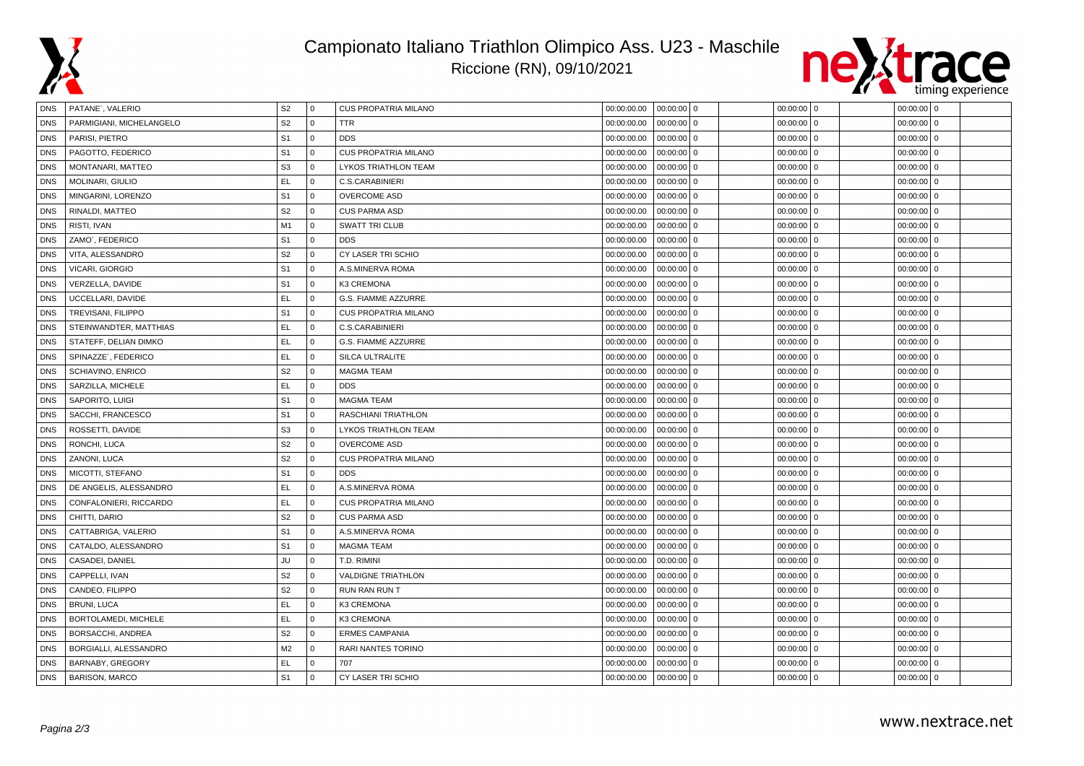

## Campionato Italiano Triathlon Olimpico Ass. U23 - Maschile Riccione (RN), 09/10/2021



| DNS        | PATANE', VALERIO         | S <sub>2</sub> | <b>0</b>     | <b>CUS PROPATRIA MILANO</b> | 00:00:00.00 | $00:00:00$ 0               | $00:00:00$ 0               | $00:00:00$ 0 |  |
|------------|--------------------------|----------------|--------------|-----------------------------|-------------|----------------------------|----------------------------|--------------|--|
| <b>DNS</b> | PARMIGIANI, MICHELANGELO | S <sub>2</sub> | $\mathbf{0}$ | <b>TTR</b>                  | 00:00:00.00 | $00:00:00$ 0               | 00:00:00<br>$\mathbf 0$    | $00:00:00$ 0 |  |
| <b>DNS</b> | PARISI, PIETRO           | S <sub>1</sub> | $\mathbf 0$  | <b>DDS</b>                  | 00:00:00.00 | 00:00:00<br>$\overline{0}$ | 00:00:00<br>$\Omega$       | $00:00:00$ 0 |  |
| <b>DNS</b> | PAGOTTO, FEDERICO        | S <sub>1</sub> | $\mathbf{0}$ | <b>CUS PROPATRIA MILANO</b> | 00:00:00.00 | 00:00:00<br>$\overline{0}$ | 00:00:00<br>$\mathbf 0$    | $00:00:00$ 0 |  |
| <b>DNS</b> | MONTANARI, MATTEO        | S <sub>3</sub> | $\Omega$     | LYKOS TRIATHLON TEAM        | 00:00:00.00 | $00:00:00$ 0               | $00:00:00$ 0               | $00:00:00$ 0 |  |
| <b>DNS</b> | MOLINARI, GIULIO         | EL.            | $\mathbf{0}$ | C.S.CARABINIERI             | 00:00:00.00 | $00:00:00$ 0               | $00:00:00$ 0               | $00:00:00$ 0 |  |
| <b>DNS</b> | MINGARINI, LORENZO       | S <sub>1</sub> | $\mathbf 0$  | <b>OVERCOME ASD</b>         | 00:00:00.00 | 00:00:00<br>$\overline{0}$ | 00:00:00<br>$\mathbf 0$    | $00:00:00$ 0 |  |
| <b>DNS</b> | RINALDI, MATTEO          | S <sub>2</sub> | $\mathbf{0}$ | <b>CUS PARMA ASD</b>        | 00:00:00.00 | 00:00:00<br>$\overline{0}$ | 00:00:00<br>$\mathbf 0$    | $00:00:00$ 0 |  |
| <b>DNS</b> | RISTI, IVAN              | M1             | $\mathbf{0}$ | <b>SWATT TRI CLUB</b>       | 00:00:00.00 | $00:00:00$ 0               | $\mathbf 0$<br>00:00:00    | $00:00:00$ 0 |  |
| <b>DNS</b> | ZAMO', FEDERICO          | S <sub>1</sub> | $\mathbf 0$  | <b>DDS</b>                  | 00:00:00.00 | 00:00:00<br>$\overline{0}$ | $\mathbf{0}$<br>00:00:00   | $00:00:00$ 0 |  |
| <b>DNS</b> | VITA, ALESSANDRO         | S <sub>2</sub> | $\Omega$     | CY LASER TRI SCHIO          | 00:00:00.00 | $00:00:00$ 0               | $\Omega$<br>00:00:00       | $00:00:00$ 0 |  |
| <b>DNS</b> | VICARI, GIORGIO          | S <sub>1</sub> | $\mathbf 0$  | A.S.MINERVA ROMA            | 00:00:00.00 | 00:00:00<br>$\overline{0}$ | 00:00:00<br>$\mathbf 0$    | $00:00:00$ 0 |  |
| <b>DNS</b> | VERZELLA, DAVIDE         | S <sub>1</sub> | $\mathbf{0}$ | K3 CREMONA                  | 00:00:00.00 | $00:00:00$ 0               | $00:00:00$ 0               | $00:00:00$ 0 |  |
| <b>DNS</b> | UCCELLARI, DAVIDE        | EL.            | $\mathbf{0}$ | G.S. FIAMME AZZURRE         | 00:00:00.00 | $00:00:00$ 0               | $00:00:00$ 0               | $00:00:00$ 0 |  |
| <b>DNS</b> | TREVISANI, FILIPPO       | S <sub>1</sub> | $\mathbf 0$  | <b>CUS PROPATRIA MILANO</b> | 00:00:00.00 | $00:00:00$ 0               | 00:00:00<br>$\mathbf{0}$   | $00:00:00$ 0 |  |
| <b>DNS</b> | STEINWANDTER, MATTHIAS   | EL.            | $\mathbf{0}$ | C.S.CARABINIERI             | 00:00:00.00 | 00:00:00<br>$\overline{0}$ | 00:00:00<br>$\mathbf{0}$   | $00:00:00$ 0 |  |
| <b>DNS</b> | STATEFF, DELIAN DIMKO    | EL             | $\mathbf{0}$ | G.S. FIAMME AZZURRE         | 00:00:00.00 | 00:00:00<br>$\overline{0}$ | 00:00:00<br>$\mathbf{0}$   | $00:00:00$ 0 |  |
| <b>DNS</b> | SPINAZZE', FEDERICO      | <b>EL</b>      | $\mathbf{0}$ | SILCA ULTRALITE             | 00:00:00.00 | $00:00:00$ 0               | $\mathbf{0}$<br>00:00:00   | $00:00:00$ 0 |  |
| <b>DNS</b> | SCHIAVINO, ENRICO        | S <sub>2</sub> | $\mathbf 0$  | <b>MAGMA TEAM</b>           | 00:00:00.00 | 00:00:00<br>$\overline{0}$ | 00:00:00<br>$\mathbf 0$    | $00:00:00$ 0 |  |
| <b>DNS</b> | SARZILLA, MICHELE        | <b>EL</b>      | $\mathbf 0$  | <b>DDS</b>                  | 00:00:00.00 | 00:00:00<br>$\overline{0}$ | 00:00:00<br>$\Omega$       | $00:00:00$ 0 |  |
| <b>DNS</b> | SAPORITO, LUIGI          | S <sub>1</sub> | $\mathbf{0}$ | <b>MAGMA TEAM</b>           | 00:00:00.00 | 00:00:00<br>$\overline{0}$ | 00:00:00<br>$\mathbf 0$    | $00:00:00$ 0 |  |
| <b>DNS</b> | SACCHI, FRANCESCO        | S <sub>1</sub> | $\mathbf{0}$ | RASCHIANI TRIATHLON         | 00:00:00.00 | 00:00:00<br>$\Omega$       | $00:00:00$ 0               | $00:00:00$ 0 |  |
| <b>DNS</b> | ROSSETTI, DAVIDE         | S <sub>3</sub> | $\mathbf{0}$ | LYKOS TRIATHLON TEAM        | 00:00:00.00 | 00:00:00<br>$\overline{0}$ | 00:00:00<br>$\cdot$ 0      | $00:00:00$ 0 |  |
| <b>DNS</b> | RONCHI, LUCA             | S <sub>2</sub> | $\mathbf{0}$ | <b>OVERCOME ASD</b>         | 00:00:00.00 | $00:00:00$ 0               | 00:00:00<br>$\mathbf 0$    | $00:00:00$ 0 |  |
| <b>DNS</b> | ZANONI, LUCA             | S <sub>2</sub> | $\mathbf 0$  | <b>CUS PROPATRIA MILANO</b> | 00:00:00.00 | $00:00:00$ 0               | 00:00:00<br>$\mathbf 0$    | $00:00:00$ 0 |  |
| <b>DNS</b> | MICOTTI, STEFANO         | S <sub>1</sub> | $\mathbf{0}$ | <b>DDS</b>                  | 00:00:00.00 | $00:00:00$ 0               | $\overline{0}$<br>00:00:00 | $00:00:00$ 0 |  |
| <b>DNS</b> | DE ANGELIS, ALESSANDRO   | EL             | $\mathbf 0$  | A.S.MINERVA ROMA            | 00:00:00.00 | 00:00:00<br>$\overline{0}$ | 00:00:00<br>$\mathbf{0}$   | $00:00:00$ 0 |  |
| <b>DNS</b> | CONFALONIERI, RICCARDO   | <b>EL</b>      | $\mathbf 0$  | <b>CUS PROPATRIA MILANO</b> | 00:00:00.00 | 00:00:00<br>١o             | 00:00:00<br>$\Omega$       | $00:00:00$ 0 |  |
| <b>DNS</b> | CHITTI, DARIO            | S <sub>2</sub> | $\mathbf 0$  | <b>CUS PARMA ASD</b>        | 00:00:00.00 | 00:00:00<br>$\overline{0}$ | 00:00:00<br>$\mathbf 0$    | $00:00:00$ 0 |  |
| <b>DNS</b> | CATTABRIGA, VALERIO      | S <sub>1</sub> | $\mathbf{0}$ | A.S.MINERVA ROMA            | 00:00:00.00 | $00:00:00$ 0               | $00:00:00$ 0               | $00:00:00$ 0 |  |
| <b>DNS</b> | CATALDO, ALESSANDRO      | S <sub>1</sub> | $\mathbf 0$  | <b>MAGMA TEAM</b>           | 00:00:00.00 | $00:00:00$ 0               | $00:00:00$ 0               | $00:00:00$ 0 |  |
| <b>DNS</b> | CASADEI, DANIEL          | JU             | $\mathbf{0}$ | T.D. RIMINI                 | 00:00:00.00 | $00:00:00$ 0               | 00:00:00<br>$\mathbf{0}$   | $00:00:00$ 0 |  |
| <b>DNS</b> | CAPPELLI, IVAN           | S <sub>2</sub> | $\mathbf{0}$ | <b>VALDIGNE TRIATHLON</b>   | 00:00:00.00 | 00:00:00<br>$\overline{0}$ | 00:00:00<br>$\mathbf{0}$   | $00:00:00$ 0 |  |
| <b>DNS</b> | CANDEO, FILIPPO          | S <sub>2</sub> | $\Omega$     | <b>RUN RAN RUN T</b>        | 00:00:00.00 | $00:00:00$ 0               | $\mathbf 0$<br>00:00:00    | $00:00:00$ 0 |  |
| <b>DNS</b> | <b>BRUNI, LUCA</b>       | EL             | $\mathbf 0$  | K3 CREMONA                  | 00:00:00.00 | 00:00:00<br>$\overline{0}$ | 00:00:00<br>$\mathbf 0$    | $00:00:00$ 0 |  |
| <b>DNS</b> | BORTOLAMEDI, MICHELE     | <b>EL</b>      | $\mathbf 0$  | K3 CREMONA                  | 00:00:00.00 | $00:00:00$ 0               | 00:00:00<br>$\mathbf 0$    | $00:00:00$ 0 |  |
| <b>DNS</b> | BORSACCHI, ANDREA        | S <sub>2</sub> | $\mathbf 0$  | <b>ERMES CAMPANIA</b>       | 00:00:00.00 | 00:00:00<br>$\overline{0}$ | 00:00:00<br>$\Omega$       | $00:00:00$ 0 |  |
| <b>DNS</b> | BORGIALLI, ALESSANDRO    | M <sub>2</sub> | $\mathbf{0}$ | <b>RARI NANTES TORINO</b>   | 00:00:00.00 | $00:00:00$ 0               | $00:00:00$ 0               | $00:00:00$ 0 |  |
| <b>DNS</b> | BARNABY, GREGORY         | EL.            | $\mathbf 0$  | 707                         | 00:00:00.00 | 00:00:00<br><b>0</b>       | 00:00:00<br>$\mathbf{0}$   | $00:00:00$ 0 |  |
| DNS        | <b>BARISON, MARCO</b>    | S <sub>1</sub> | $\Omega$     | CY LASER TRI SCHIO          | 00:00:00.00 | $00:00:00$ 0               | $00:00:00$ 0               | $00:00:00$ 0 |  |